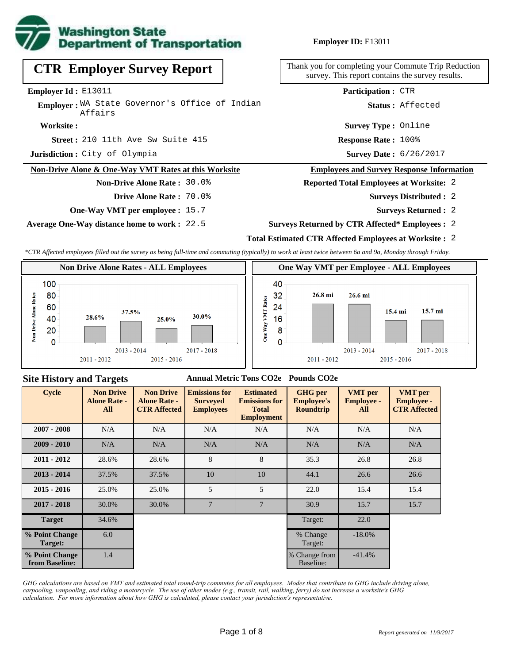

**Employer ID:** E13011

# **CTR Employer Survey Report**

**Employer Id :** E13011

Employer: WA State Governor's Office of Indian Affairs

#### **Worksite :**

210 11th Ave Sw Suite 415 **Response Rate : Street :**

**Jurisdiction :** City of Olympia

### **Non-Drive Alone & One-Way VMT Rates at this Worksite**

### **Non-Drive Alone Rate :** 30.0%

- **Drive Alone Rate :** 70.0%
- **One-Way VMT per employee :** 15.7

**Average One-Way distance home to work :** 22.5

Thank you for completing your Commute Trip Reduction survey. This report contains the survey results.

**Participation :** CTR

**Status :** Affected

**Survey Type :** Online

Response Rate: 100%

Survey Date: 6/26/2017

#### **Employees and Survey Response Information**

- **Reported Total Employees at Worksite:** 2
	- 2 **Surveys Distributed :**
		- **Surveys Returned :** 2
- **Surveys Returned by CTR Affected\* Employees :** 2
- **Total Estimated CTR Affected Employees at Worksite :** 2

*\*CTR Affected employees filled out the survey as being full-time and commuting (typically) to work at least twice between 6a and 9a, Monday through Friday.*





#### **Site History and Targets**

#### **Annual Metric Tons CO2e Pounds CO2e**

| <b>Cycle</b>                     | <b>Non Drive</b><br><b>Alone Rate -</b><br>All | <b>Non Drive</b><br><b>Alone Rate -</b><br><b>CTR Affected</b> | <b>Emissions for</b><br><b>Surveyed</b><br><b>Employees</b> | <b>Estimated</b><br><b>Emissions for</b><br><b>Total</b><br><b>Employment</b> | <b>GHG</b> per<br><b>Employee's</b><br><b>Roundtrip</b> | <b>VMT</b> per<br><b>Employee -</b><br>All | <b>VMT</b> per<br><b>Employee -</b><br><b>CTR Affected</b> |
|----------------------------------|------------------------------------------------|----------------------------------------------------------------|-------------------------------------------------------------|-------------------------------------------------------------------------------|---------------------------------------------------------|--------------------------------------------|------------------------------------------------------------|
| $2007 - 2008$                    | N/A                                            | N/A                                                            | N/A                                                         | N/A                                                                           | N/A                                                     | N/A                                        | N/A                                                        |
| $2009 - 2010$                    | N/A                                            | N/A                                                            | N/A                                                         | N/A                                                                           | N/A                                                     | N/A                                        | N/A                                                        |
| $2011 - 2012$                    | 28.6%                                          | 28.6%                                                          | 8                                                           | 8                                                                             | 35.3                                                    | 26.8                                       | 26.8                                                       |
| $2013 - 2014$                    | 37.5%                                          | 37.5%                                                          | 10                                                          | 10                                                                            | 44.1                                                    | 26.6                                       | 26.6                                                       |
| $2015 - 2016$                    | 25.0%                                          | 25.0%                                                          | 5                                                           | 5                                                                             | 22.0                                                    | 15.4                                       | 15.4                                                       |
| $2017 - 2018$                    | 30.0%                                          | 30.0%                                                          | $7\phantom{.0}$                                             | $\overline{7}$                                                                | 30.9                                                    | 15.7                                       | 15.7                                                       |
| <b>Target</b>                    | 34.6%                                          |                                                                |                                                             |                                                                               | Target:                                                 | 22.0                                       |                                                            |
| % Point Change<br>Target:        | 6.0                                            |                                                                |                                                             |                                                                               | % Change<br>Target:                                     | $-18.0\%$                                  |                                                            |
| % Point Change<br>from Baseline: | 1.4                                            |                                                                |                                                             |                                                                               | % Change from<br>Baseline:                              | $-41.4%$                                   |                                                            |

*GHG calculations are based on VMT and estimated total round-trip commutes for all employees. Modes that contribute to GHG include driving alone, carpooling, vanpooling, and riding a motorcycle. The use of other modes (e.g., transit, rail, walking, ferry) do not increase a worksite's GHG calculation. For more information about how GHG is calculated, please contact your jurisdiction's representative.*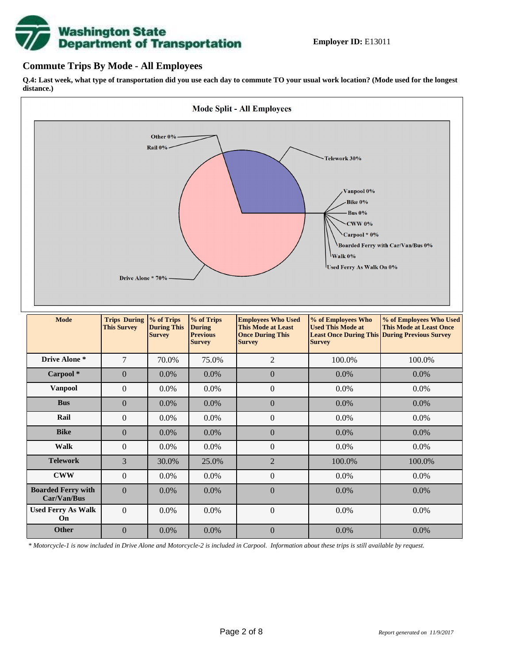

## **Commute Trips By Mode - All Employees**

**Q.4: Last week, what type of transportation did you use each day to commute TO your usual work location? (Mode used for the longest distance.)**



*\* Motorcycle-1 is now included in Drive Alone and Motorcycle-2 is included in Carpool. Information about these trips is still available by request.*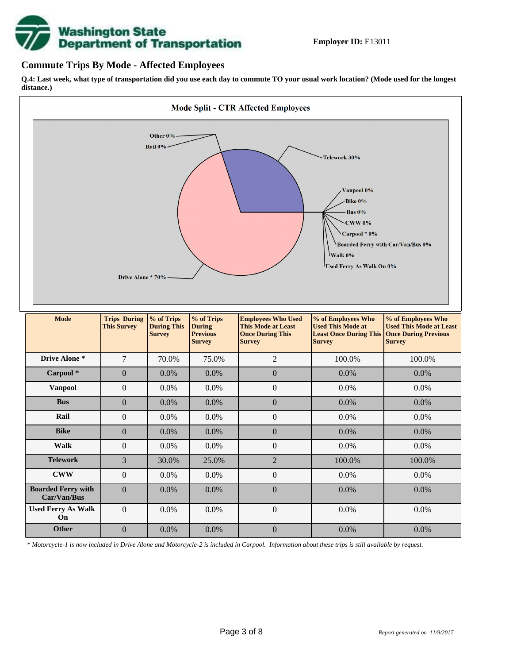

## **Commute Trips By Mode - Affected Employees**

**Q.4: Last week, what type of transportation did you use each day to commute TO your usual work location? (Mode used for the longest distance.)**



*\* Motorcycle-1 is now included in Drive Alone and Motorcycle-2 is included in Carpool. Information about these trips is still available by request.*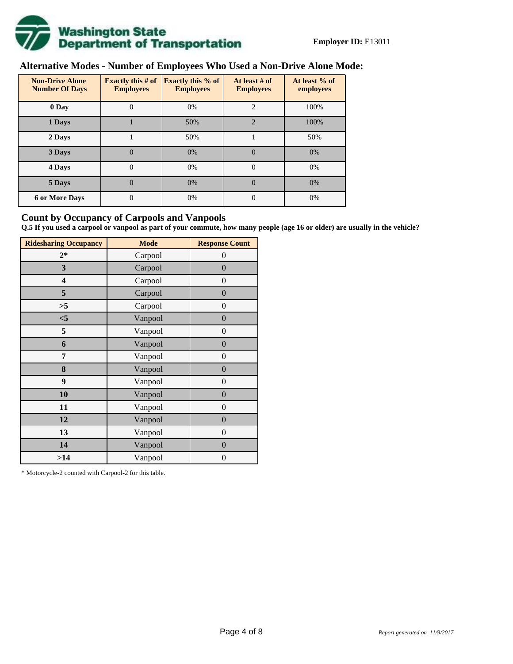

## **Alternative Modes - Number of Employees Who Used a Non-Drive Alone Mode:**

| <b>Non-Drive Alone</b><br><b>Number Of Days</b> | <b>Exactly this # of</b><br><b>Employees</b> | <b>Exactly this % of</b><br><b>Employees</b> | At least # of<br><b>Employees</b> | At least % of<br>employees |  |  |
|-------------------------------------------------|----------------------------------------------|----------------------------------------------|-----------------------------------|----------------------------|--|--|
| 0 Day                                           | 0                                            | 0%                                           | $\overline{c}$                    | 100%                       |  |  |
| 1 Days                                          |                                              | 50%                                          | $\overline{2}$                    | 100%                       |  |  |
| 2 Days                                          |                                              | 50%                                          |                                   | 50%                        |  |  |
| 3 Days                                          | $\overline{0}$                               | 0%                                           | $\Omega$                          | 0%                         |  |  |
| 4 Days                                          | $\theta$                                     | 0%                                           | $\Omega$                          | 0%                         |  |  |
| 5 Days                                          | 0                                            | 0%                                           | $\theta$                          | 0%                         |  |  |
| <b>6 or More Days</b>                           | $\theta$                                     | 0%                                           | $\Omega$                          | 0%                         |  |  |

## **Count by Occupancy of Carpools and Vanpools**

**Q.5 If you used a carpool or vanpool as part of your commute, how many people (age 16 or older) are usually in the vehicle?**

| <b>Ridesharing Occupancy</b> | <b>Mode</b> | <b>Response Count</b> |
|------------------------------|-------------|-----------------------|
| $2*$                         | Carpool     | 0                     |
| 3                            | Carpool     | $\overline{0}$        |
| 4                            | Carpool     | $\boldsymbol{0}$      |
| 5                            | Carpool     | $\boldsymbol{0}$      |
| >5                           | Carpool     | $\boldsymbol{0}$      |
| $<$ 5                        | Vanpool     | $\overline{0}$        |
| 5                            | Vanpool     | $\overline{0}$        |
| 6                            | Vanpool     | $\boldsymbol{0}$      |
| 7                            | Vanpool     | $\boldsymbol{0}$      |
| 8                            | Vanpool     | $\overline{0}$        |
| 9                            | Vanpool     | $\overline{0}$        |
| 10                           | Vanpool     | $\overline{0}$        |
| 11                           | Vanpool     | $\boldsymbol{0}$      |
| 12                           | Vanpool     | $\boldsymbol{0}$      |
| 13                           | Vanpool     | $\overline{0}$        |
| 14                           | Vanpool     | $\overline{0}$        |
| >14                          | Vanpool     | $\boldsymbol{0}$      |

\* Motorcycle-2 counted with Carpool-2 for this table.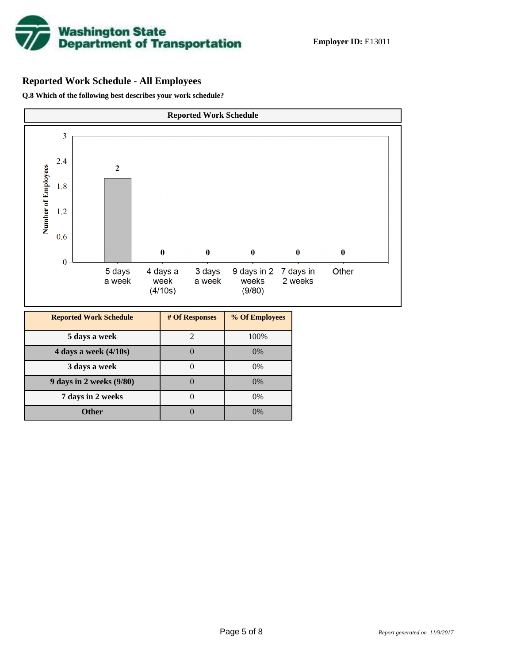

## **Reported Work Schedule - All Employees**

**Q.8 Which of the following best describes your work schedule?**

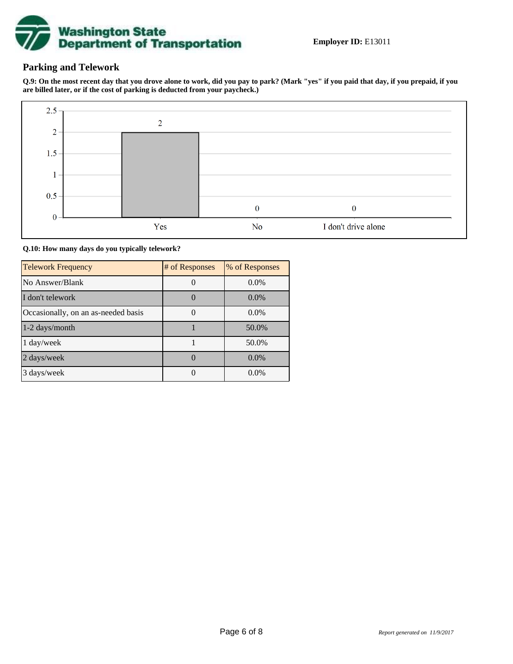

## **Parking and Telework**

**Q.9: On the most recent day that you drove alone to work, did you pay to park? (Mark "yes" if you paid that day, if you prepaid, if you are billed later, or if the cost of parking is deducted from your paycheck.)**



**Q.10: How many days do you typically telework?**

| <b>Telework Frequency</b>           | # of Responses | % of Responses |
|-------------------------------------|----------------|----------------|
| No Answer/Blank                     |                | $0.0\%$        |
| I don't telework                    |                | $0.0\%$        |
| Occasionally, on an as-needed basis |                | $0.0\%$        |
| 1-2 days/month                      |                | 50.0%          |
| $1 \text{ day/week}$                |                | 50.0%          |
| 2 days/week                         |                | $0.0\%$        |
| 3 days/week                         |                | $0.0\%$        |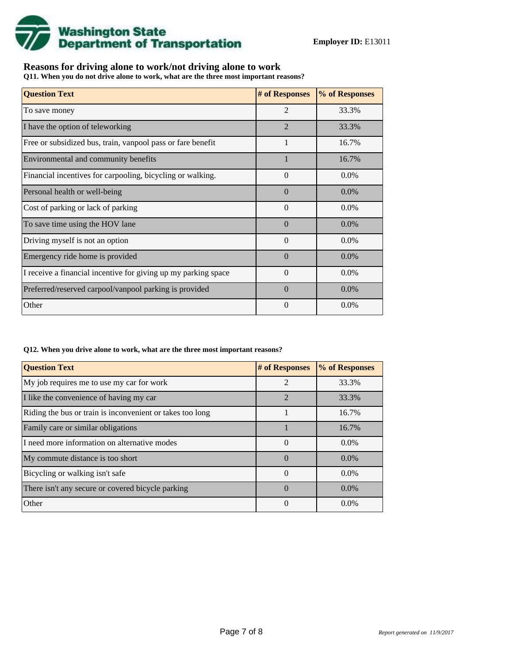

## **Reasons for driving alone to work/not driving alone to work**

**Q11. When you do not drive alone to work, what are the three most important reasons?**

| <b>Question Text</b>                                           | # of Responses | % of Responses |
|----------------------------------------------------------------|----------------|----------------|
| To save money                                                  | $\overline{2}$ | 33.3%          |
| I have the option of teleworking                               | $\overline{2}$ | 33.3%          |
| Free or subsidized bus, train, vanpool pass or fare benefit    | 1              | 16.7%          |
| Environmental and community benefits                           |                | 16.7%          |
| Financial incentives for carpooling, bicycling or walking.     | $\overline{0}$ | $0.0\%$        |
| Personal health or well-being                                  | $\Omega$       | $0.0\%$        |
| Cost of parking or lack of parking                             | $\Omega$       | 0.0%           |
| To save time using the HOV lane                                | $\Omega$       | $0.0\%$        |
| Driving myself is not an option                                | $\Omega$       | 0.0%           |
| Emergency ride home is provided                                | $\Omega$       | $0.0\%$        |
| I receive a financial incentive for giving up my parking space | $\Omega$       | $0.0\%$        |
| Preferred/reserved carpool/vanpool parking is provided         | $\Omega$       | $0.0\%$        |
| Other                                                          | $\Omega$       | $0.0\%$        |

#### **Q12. When you drive alone to work, what are the three most important reasons?**

| <b>Question Text</b>                                      | # of Responses | % of Responses |
|-----------------------------------------------------------|----------------|----------------|
| My job requires me to use my car for work                 | $\mathfrak{D}$ | 33.3%          |
| I like the convenience of having my car                   | $\mathfrak{D}$ | 33.3%          |
| Riding the bus or train is inconvenient or takes too long |                | 16.7%          |
| Family care or similar obligations                        |                | 16.7%          |
| I need more information on alternative modes              | $\Omega$       | $0.0\%$        |
| My commute distance is too short                          | $\Omega$       | $0.0\%$        |
| Bicycling or walking isn't safe                           | $\theta$       | $0.0\%$        |
| There isn't any secure or covered bicycle parking         | $\Omega$       | $0.0\%$        |
| Other                                                     | $\theta$       | $0.0\%$        |